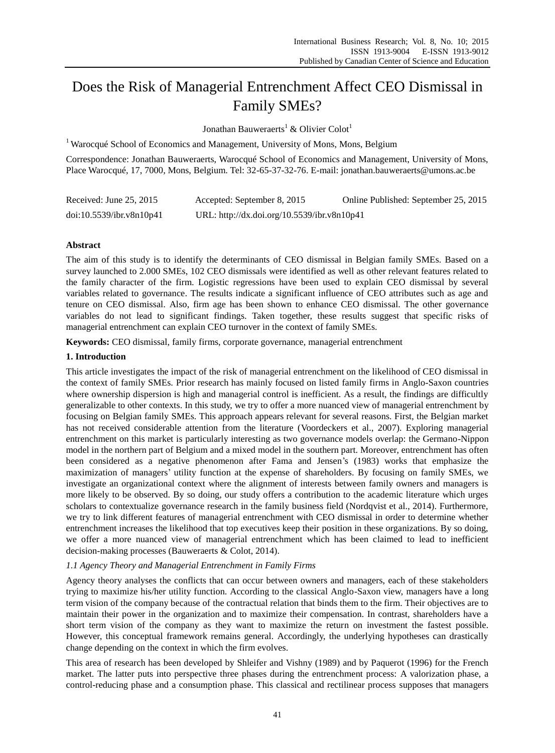# Does the Risk of Managerial Entrenchment Affect CEO Dismissal in Family SMEs?

Jonathan Bauweraerts<sup>1</sup> & Olivier Colot<sup>1</sup>

<sup>1</sup> Warocqué School of Economics and Management, University of Mons, Mons, Belgium

Correspondence: Jonathan Bauweraerts, Warocqué School of Economics and Management, University of Mons, Place Warocqué, 17, 7000, Mons, Belgium. Tel: 32-65-37-32-76. E-mail: [jonathan.bauweraerts@umons.ac.be](mailto:jonathan.bauweraerts@umons.ac.be)

| Received: June $25, 2015$ | Accepted: September 8, 2015                 | Online Published: September 25, 2015 |
|---------------------------|---------------------------------------------|--------------------------------------|
| doi:10.5539/ibr.v8n10p41  | URL: http://dx.doi.org/10.5539/ibr.v8n10p41 |                                      |

# **Abstract**

The aim of this study is to identify the determinants of CEO dismissal in Belgian family SMEs. Based on a survey launched to 2.000 SMEs, 102 CEO dismissals were identified as well as other relevant features related to the family character of the firm. Logistic regressions have been used to explain CEO dismissal by several variables related to governance. The results indicate a significant influence of CEO attributes such as age and tenure on CEO dismissal. Also, firm age has been shown to enhance CEO dismissal. The other governance variables do not lead to significant findings. Taken together, these results suggest that specific risks of managerial entrenchment can explain CEO turnover in the context of family SMEs.

**Keywords:** CEO dismissal, family firms, corporate governance, managerial entrenchment

# **1. Introduction**

This article investigates the impact of the risk of managerial entrenchment on the likelihood of CEO dismissal in the context of family SMEs. Prior research has mainly focused on listed family firms in Anglo-Saxon countries where ownership dispersion is high and managerial control is inefficient. As a result, the findings are difficultly generalizable to other contexts. In this study, we try to offer a more nuanced view of managerial entrenchment by focusing on Belgian family SMEs. This approach appears relevant for several reasons. First, the Belgian market has not received considerable attention from the literature (Voordeckers et al., 2007). Exploring managerial entrenchment on this market is particularly interesting as two governance models overlap: the Germano-Nippon model in the northern part of Belgium and a mixed model in the southern part. Moreover, entrenchment has often been considered as a negative phenomenon after Fama and Jensen's (1983) works that emphasize the maximization of managers' utility function at the expense of shareholders. By focusing on family SMEs, we investigate an organizational context where the alignment of interests between family owners and managers is more likely to be observed. By so doing, our study offers a contribution to the academic literature which urges scholars to contextualize governance research in the family business field (Nordqvist et al., 2014). Furthermore, we try to link different features of managerial entrenchment with CEO dismissal in order to determine whether entrenchment increases the likelihood that top executives keep their position in these organizations. By so doing, we offer a more nuanced view of managerial entrenchment which has been claimed to lead to inefficient decision-making processes (Bauweraerts & Colot, 2014).

# *1.1 Agency Theory and Managerial Entrenchment in Family Firms*

Agency theory analyses the conflicts that can occur between owners and managers, each of these stakeholders trying to maximize his/her utility function. According to the classical Anglo-Saxon view, managers have a long term vision of the company because of the contractual relation that binds them to the firm. Their objectives are to maintain their power in the organization and to maximize their compensation. In contrast, shareholders have a short term vision of the company as they want to maximize the return on investment the fastest possible. However, this conceptual framework remains general. Accordingly, the underlying hypotheses can drastically change depending on the context in which the firm evolves.

This area of research has been developed by Shleifer and Vishny (1989) and by Paquerot (1996) for the French market. The latter puts into perspective three phases during the entrenchment process: A valorization phase, a control-reducing phase and a consumption phase. This classical and rectilinear process supposes that managers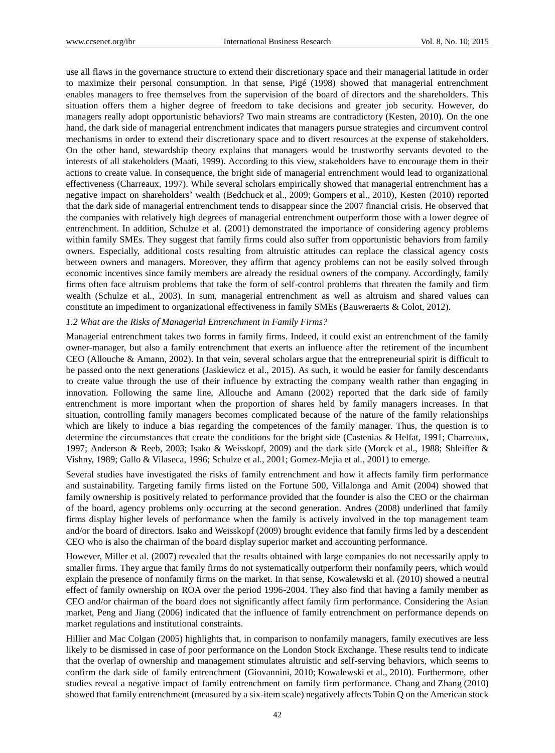use all flaws in the governance structure to extend their discretionary space and their managerial latitude in order to maximize their personal consumption. In that sense, Pigé (1998) showed that managerial entrenchment enables managers to free themselves from the supervision of the board of directors and the shareholders. This situation offers them a higher degree of freedom to take decisions and greater job security. However, do managers really adopt opportunistic behaviors? Two main streams are contradictory (Kesten, 2010). On the one hand, the dark side of managerial entrenchment indicates that managers pursue strategies and circumvent control mechanisms in order to extend their discretionary space and to divert resources at the expense of stakeholders. On the other hand, stewardship theory explains that managers would be trustworthy servants devoted to the interests of all stakeholders (Maati, 1999). According to this view, stakeholders have to encourage them in their actions to create value. In consequence, the bright side of managerial entrenchment would lead to organizational effectiveness (Charreaux, 1997). While several scholars empirically showed that managerial entrenchment has a negative impact on shareholders' wealth (Bedchuck et al., 2009; Gompers et al., 2010), Kesten (2010) reported that the dark side of managerial entrenchment tends to disappear since the 2007 financial crisis. He observed that the companies with relatively high degrees of managerial entrenchment outperform those with a lower degree of entrenchment. In addition, Schulze et al. (2001) demonstrated the importance of considering agency problems within family SMEs. They suggest that family firms could also suffer from opportunistic behaviors from family owners. Especially, additional costs resulting from altruistic attitudes can replace the classical agency costs between owners and managers. Moreover, they affirm that agency problems can not be easily solved through economic incentives since family members are already the residual owners of the company. Accordingly, family firms often face altruism problems that take the form of self-control problems that threaten the family and firm wealth (Schulze et al., 2003). In sum, managerial entrenchment as well as altruism and shared values can constitute an impediment to organizational effectiveness in family SMEs (Bauweraerts & Colot, 2012).

#### *1.2 What are the Risks of Managerial Entrenchment in Family Firms?*

Managerial entrenchment takes two forms in family firms. Indeed, it could exist an entrenchment of the family owner-manager, but also a family entrenchment that exerts an influence after the retirement of the incumbent CEO (Allouche & Amann, 2002). In that vein, several scholars argue that the entrepreneurial spirit is difficult to be passed onto the next generations (Jaskiewicz et al., 2015). As such, it would be easier for family descendants to create value through the use of their influence by extracting the company wealth rather than engaging in innovation. Following the same line, Allouche and Amann (2002) reported that the dark side of family entrenchment is more important when the proportion of shares held by family managers increases. In that situation, controlling family managers becomes complicated because of the nature of the family relationships which are likely to induce a bias regarding the competences of the family manager. Thus, the question is to determine the circumstances that create the conditions for the bright side (Castenias & Helfat, 1991; Charreaux, 1997; Anderson & Reeb, 2003; Isako & Weisskopf, 2009) and the dark side (Morck et al., 1988; Shleiffer & Vishny, 1989; Gallo & Vilaseca, 1996; Schulze et al., 2001; Gomez-Mejia et al*.*, 2001) to emerge.

Several studies have investigated the risks of family entrenchment and how it affects family firm performance and sustainability. Targeting family firms listed on the Fortune 500, Villalonga and Amit (2004) showed that family ownership is positively related to performance provided that the founder is also the CEO or the chairman of the board, agency problems only occurring at the second generation. Andres (2008) underlined that family firms display higher levels of performance when the family is actively involved in the top management team and/or the board of directors. Isako and Weisskopf (2009) brought evidence that family firms led by a descendent CEO who is also the chairman of the board display superior market and accounting performance.

However, Miller et al. (2007) revealed that the results obtained with large companies do not necessarily apply to smaller firms. They argue that family firms do not systematically outperform their nonfamily peers, which would explain the presence of nonfamily firms on the market. In that sense, Kowalewski et al. (2010) showed a neutral effect of family ownership on ROA over the period 1996-2004. They also find that having a family member as CEO and/or chairman of the board does not significantly affect family firm performance. Considering the Asian market, Peng and Jiang (2006) indicated that the influence of family entrenchment on performance depends on market regulations and institutional constraints.

Hillier and Mac Colgan (2005) highlights that, in comparison to nonfamily managers, family executives are less likely to be dismissed in case of poor performance on the London Stock Exchange. These results tend to indicate that the overlap of ownership and management stimulates altruistic and self-serving behaviors, which seems to confirm the dark side of family entrenchment (Giovannini, 2010; Kowalewski et al., 2010). Furthermore, other studies reveal a negative impact of family entrenchment on family firm performance. Chang and Zhang (2010) showed that family entrenchment (measured by a six-item scale) negatively affects Tobin Q on the American stock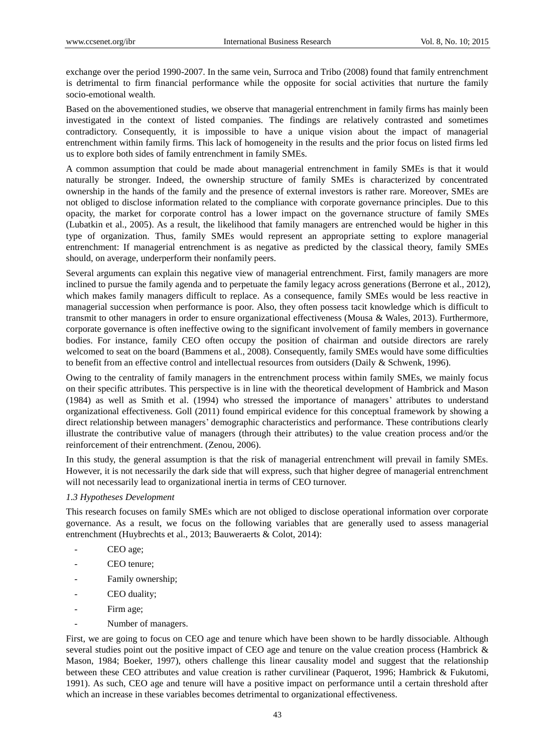exchange over the period 1990-2007. In the same vein, Surroca and Tribo (2008) found that family entrenchment is detrimental to firm financial performance while the opposite for social activities that nurture the family socio-emotional wealth.

Based on the abovementioned studies, we observe that managerial entrenchment in family firms has mainly been investigated in the context of listed companies. The findings are relatively contrasted and sometimes contradictory. Consequently, it is impossible to have a unique vision about the impact of managerial entrenchment within family firms. This lack of homogeneity in the results and the prior focus on listed firms led us to explore both sides of family entrenchment in family SMEs.

A common assumption that could be made about managerial entrenchment in family SMEs is that it would naturally be stronger. Indeed, the ownership structure of family SMEs is characterized by concentrated ownership in the hands of the family and the presence of external investors is rather rare. Moreover, SMEs are not obliged to disclose information related to the compliance with corporate governance principles. Due to this opacity, the market for corporate control has a lower impact on the governance structure of family SMEs (Lubatkin et al., 2005). As a result, the likelihood that family managers are entrenched would be higher in this type of organization. Thus, family SMEs would represent an appropriate setting to explore managerial entrenchment: If managerial entrenchment is as negative as predicted by the classical theory, family SMEs should, on average, underperform their nonfamily peers.

Several arguments can explain this negative view of managerial entrenchment. First, family managers are more inclined to pursue the family agenda and to perpetuate the family legacy across generations (Berrone et al., 2012), which makes family managers difficult to replace. As a consequence, family SMEs would be less reactive in managerial succession when performance is poor. Also, they often possess tacit knowledge which is difficult to transmit to other managers in order to ensure organizational effectiveness (Mousa & Wales, 2013). Furthermore, corporate governance is often ineffective owing to the significant involvement of family members in governance bodies. For instance, family CEO often occupy the position of chairman and outside directors are rarely welcomed to seat on the board (Bammens et al., 2008). Consequently, family SMEs would have some difficulties to benefit from an effective control and intellectual resources from outsiders (Daily & Schwenk, 1996).

Owing to the centrality of family managers in the entrenchment process within family SMEs, we mainly focus on their specific attributes. This perspective is in line with the theoretical development of Hambrick and Mason (1984) as well as Smith et al. (1994) who stressed the importance of managers' attributes to understand organizational effectiveness. Goll (2011) found empirical evidence for this conceptual framework by showing a direct relationship between managers' demographic characteristics and performance. These contributions clearly illustrate the contributive value of managers (through their attributes) to the value creation process and/or the reinforcement of their entrenchment. (Zenou, 2006).

In this study, the general assumption is that the risk of managerial entrenchment will prevail in family SMEs. However, it is not necessarily the dark side that will express, such that higher degree of managerial entrenchment will not necessarily lead to organizational inertia in terms of CEO turnover.

# *1.3 Hypotheses Development*

This research focuses on family SMEs which are not obliged to disclose operational information over corporate governance. As a result, we focus on the following variables that are generally used to assess managerial entrenchment (Huybrechts et al., 2013; Bauweraerts & Colot, 2014):

- CEO age;
- CEO tenure;
- Family ownership;
- CEO duality;
- Firm age;
- Number of managers.

First, we are going to focus on CEO age and tenure which have been shown to be hardly dissociable. Although several studies point out the positive impact of CEO age and tenure on the value creation process (Hambrick & Mason, 1984; Boeker, 1997), others challenge this linear causality model and suggest that the relationship between these CEO attributes and value creation is rather curvilinear (Paquerot, 1996; Hambrick & Fukutomi, 1991). As such, CEO age and tenure will have a positive impact on performance until a certain threshold after which an increase in these variables becomes detrimental to organizational effectiveness.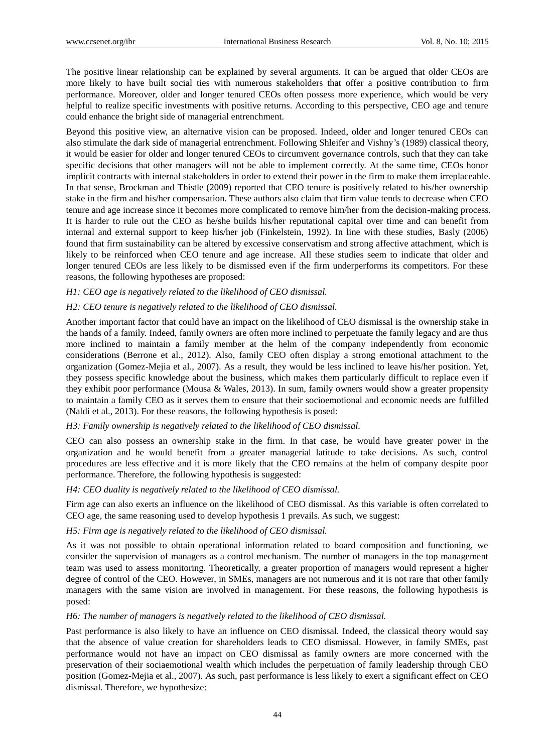The positive linear relationship can be explained by several arguments. It can be argued that older CEOs are more likely to have built social ties with numerous stakeholders that offer a positive contribution to firm performance. Moreover, older and longer tenured CEOs often possess more experience, which would be very helpful to realize specific investments with positive returns. According to this perspective, CEO age and tenure could enhance the bright side of managerial entrenchment.

Beyond this positive view, an alternative vision can be proposed. Indeed, older and longer tenured CEOs can also stimulate the dark side of managerial entrenchment. Following Shleifer and Vishny's (1989) classical theory, it would be easier for older and longer tenured CEOs to circumvent governance controls, such that they can take specific decisions that other managers will not be able to implement correctly. At the same time, CEOs honor implicit contracts with internal stakeholders in order to extend their power in the firm to make them irreplaceable. In that sense, Brockman and Thistle (2009) reported that CEO tenure is positively related to his/her ownership stake in the firm and his/her compensation. These authors also claim that firm value tends to decrease when CEO tenure and age increase since it becomes more complicated to remove him/her from the decision-making process. It is harder to rule out the CEO as he/she builds his/her reputational capital over time and can benefit from internal and external support to keep his/her job (Finkelstein, 1992). In line with these studies, Basly (2006) found that firm sustainability can be altered by excessive conservatism and strong affective attachment, which is likely to be reinforced when CEO tenure and age increase. All these studies seem to indicate that older and longer tenured CEOs are less likely to be dismissed even if the firm underperforms its competitors. For these reasons, the following hypotheses are proposed:

## *H1: CEO age is negatively related to the likelihood of CEO dismissal.*

## *H2: CEO tenure is negatively related to the likelihood of CEO dismissal.*

Another important factor that could have an impact on the likelihood of CEO dismissal is the ownership stake in the hands of a family. Indeed, family owners are often more inclined to perpetuate the family legacy and are thus more inclined to maintain a family member at the helm of the company independently from economic considerations (Berrone et al., 2012). Also, family CEO often display a strong emotional attachment to the organization (Gomez-Mejia et al., 2007). As a result, they would be less inclined to leave his/her position. Yet, they possess specific knowledge about the business, which makes them particularly difficult to replace even if they exhibit poor performance (Mousa & Wales, 2013). In sum, family owners would show a greater propensity to maintain a family CEO as it serves them to ensure that their socioemotional and economic needs are fulfilled (Naldi et al., 2013). For these reasons, the following hypothesis is posed:

# *H3: Family ownership is negatively related to the likelihood of CEO dismissal.*

CEO can also possess an ownership stake in the firm. In that case, he would have greater power in the organization and he would benefit from a greater managerial latitude to take decisions. As such, control procedures are less effective and it is more likely that the CEO remains at the helm of company despite poor performance. Therefore, the following hypothesis is suggested:

## *H4: CEO duality is negatively related to the likelihood of CEO dismissal.*

Firm age can also exerts an influence on the likelihood of CEO dismissal. As this variable is often correlated to CEO age, the same reasoning used to develop hypothesis 1 prevails. As such, we suggest:

## *H5: Firm age is negatively related to the likelihood of CEO dismissal.*

As it was not possible to obtain operational information related to board composition and functioning, we consider the supervision of managers as a control mechanism. The number of managers in the top management team was used to assess monitoring. Theoretically, a greater proportion of managers would represent a higher degree of control of the CEO. However, in SMEs, managers are not numerous and it is not rare that other family managers with the same vision are involved in management. For these reasons, the following hypothesis is posed:

## *H6: The number of managers is negatively related to the likelihood of CEO dismissal.*

Past performance is also likely to have an influence on CEO dismissal. Indeed, the classical theory would say that the absence of value creation for shareholders leads to CEO dismissal. However, in family SMEs, past performance would not have an impact on CEO dismissal as family owners are more concerned with the preservation of their sociaemotional wealth which includes the perpetuation of family leadership through CEO position (Gomez-Mejia et al., 2007). As such, past performance is less likely to exert a significant effect on CEO dismissal. Therefore, we hypothesize: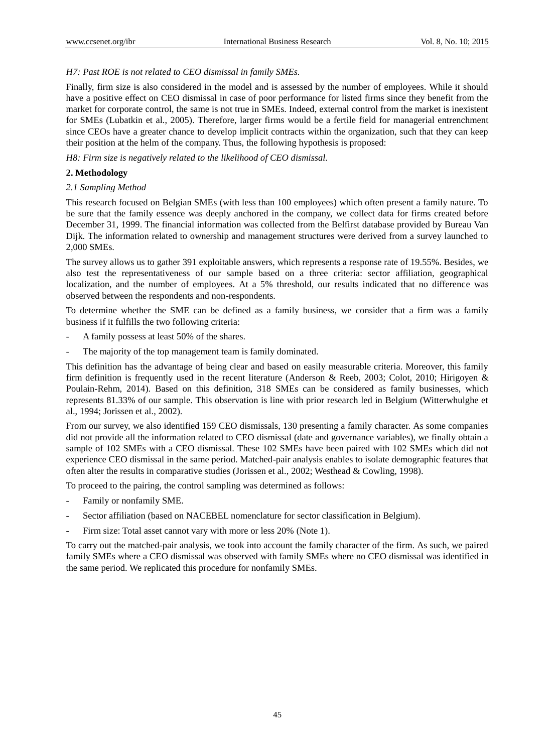# *H7: Past ROE is not related to CEO dismissal in family SMEs.*

Finally, firm size is also considered in the model and is assessed by the number of employees. While it should have a positive effect on CEO dismissal in case of poor performance for listed firms since they benefit from the market for corporate control, the same is not true in SMEs. Indeed, external control from the market is inexistent for SMEs (Lubatkin et al., 2005). Therefore, larger firms would be a fertile field for managerial entrenchment since CEOs have a greater chance to develop implicit contracts within the organization, such that they can keep their position at the helm of the company. Thus, the following hypothesis is proposed:

*H8: Firm size is negatively related to the likelihood of CEO dismissal.*

# **2. Methodology**

# *2.1 Sampling Method*

This research focused on Belgian SMEs (with less than 100 employees) which often present a family nature. To be sure that the family essence was deeply anchored in the company, we collect data for firms created before December 31, 1999. The financial information was collected from the Belfirst database provided by Bureau Van Dijk. The information related to ownership and management structures were derived from a survey launched to 2,000 SMEs.

The survey allows us to gather 391 exploitable answers, which represents a response rate of 19.55%. Besides, we also test the representativeness of our sample based on a three criteria: sector affiliation, geographical localization, and the number of employees. At a 5% threshold, our results indicated that no difference was observed between the respondents and non-respondents.

To determine whether the SME can be defined as a family business, we consider that a firm was a family business if it fulfills the two following criteria:

- A family possess at least 50% of the shares.
- The majority of the top management team is family dominated.

This definition has the advantage of being clear and based on easily measurable criteria. Moreover, this family firm definition is frequently used in the recent literature (Anderson & Reeb, 2003; Colot, 2010; Hirigoyen & Poulain-Rehm, 2014). Based on this definition, 318 SMEs can be considered as family businesses, which represents 81.33% of our sample. This observation is line with prior research led in Belgium (Witterwhulghe et al., 1994; Jorissen et al., 2002).

From our survey, we also identified 159 CEO dismissals, 130 presenting a family character. As some companies did not provide all the information related to CEO dismissal (date and governance variables), we finally obtain a sample of 102 SMEs with a CEO dismissal. These 102 SMEs have been paired with 102 SMEs which did not experience CEO dismissal in the same period. Matched-pair analysis enables to isolate demographic features that often alter the results in comparative studies (Jorissen et al., 2002; Westhead & Cowling, 1998).

To proceed to the pairing, the control sampling was determined as follows:

- Family or nonfamily SME.
- Sector affiliation (based on NACEBEL nomenclature for sector classification in Belgium).
- Firm size: Total asset cannot vary with more or less 20% (Note 1).

To carry out the matched-pair analysis, we took into account the family character of the firm. As such, we paired family SMEs where a CEO dismissal was observed with family SMEs where no CEO dismissal was identified in the same period. We replicated this procedure for nonfamily SMEs.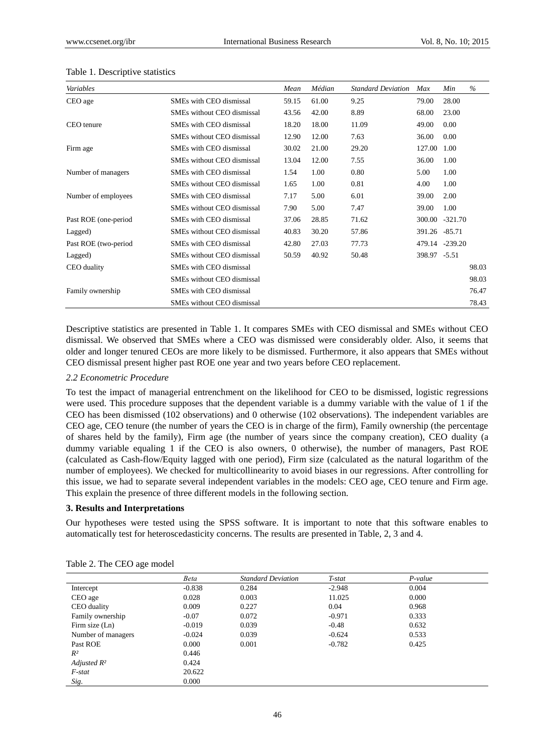| Variables            |                            | Mean  | Médian | <b>Standard Deviation</b> | Max          | Min            | $\frac{0}{0}$ |
|----------------------|----------------------------|-------|--------|---------------------------|--------------|----------------|---------------|
| CEO age              | SMEs with CEO dismissal    | 59.15 | 61.00  | 9.25                      | 79.00        | 28.00          |               |
|                      | SMEs without CEO dismissal | 43.56 | 42.00  | 8.89                      | 68.00        | 23.00          |               |
| CEO tenure           | SMEs with CEO dismissal    | 18.20 | 18.00  | 11.09                     | 49.00        | 0.00           |               |
|                      | SMEs without CEO dismissal | 12.90 | 12.00  | 7.63                      | 36.00        | 0.00           |               |
| Firm age             | SMEs with CEO dismissal    | 30.02 | 21.00  | 29.20                     | 127.00       | 1.00           |               |
|                      | SMEs without CEO dismissal | 13.04 | 12.00  | 7.55                      | 36.00        | 1.00           |               |
| Number of managers   | SMEs with CEO dismissal    | 1.54  | 1.00   | 0.80                      | 5.00         | 1.00           |               |
|                      | SMEs without CEO dismissal | 1.65  | 1.00   | 0.81                      | 4.00         | 1.00           |               |
| Number of employees  | SMEs with CEO dismissal    | 7.17  | 5.00   | 6.01                      | 39.00        | 2.00           |               |
|                      | SMEs without CEO dismissal | 7.90  | 5.00   | 7.47                      | 39.00        | 1.00           |               |
| Past ROE (one-period | SMEs with CEO dismissal    | 37.06 | 28.85  | 71.62                     | 300.00       | $-321.70$      |               |
| Lagged)              | SMEs without CEO dismissal | 40.83 | 30.20  | 57.86                     | 391.26       | $-85.71$       |               |
| Past ROE (two-period | SMEs with CEO dismissal    | 42.80 | 27.03  | 77.73                     |              | 479.14 -239.20 |               |
| Lagged)              | SMEs without CEO dismissal | 50.59 | 40.92  | 50.48                     | 398.97 -5.51 |                |               |
| CEO duality          | SMEs with CEO dismissal    |       |        |                           |              |                | 98.03         |
|                      | SMEs without CEO dismissal |       |        |                           |              |                | 98.03         |
| Family ownership     | SMEs with CEO dismissal    |       |        |                           |              |                | 76.47         |
|                      | SMEs without CEO dismissal |       |        |                           |              |                | 78.43         |

#### Table 1. Descriptive statistics

Descriptive statistics are presented in Table 1. It compares SMEs with CEO dismissal and SMEs without CEO dismissal. We observed that SMEs where a CEO was dismissed were considerably older. Also, it seems that older and longer tenured CEOs are more likely to be dismissed. Furthermore, it also appears that SMEs without CEO dismissal present higher past ROE one year and two years before CEO replacement.

## *2.2 Econometric Procedure*

To test the impact of managerial entrenchment on the likelihood for CEO to be dismissed, logistic regressions were used. This procedure supposes that the dependent variable is a dummy variable with the value of 1 if the CEO has been dismissed (102 observations) and 0 otherwise (102 observations). The independent variables are CEO age, CEO tenure (the number of years the CEO is in charge of the firm), Family ownership (the percentage of shares held by the family), Firm age (the number of years since the company creation), CEO duality (a dummy variable equaling 1 if the CEO is also owners, 0 otherwise), the number of managers, Past ROE (calculated as Cash-flow/Equity lagged with one period), Firm size (calculated as the natural logarithm of the number of employees). We checked for multicollinearity to avoid biases in our regressions. After controlling for this issue, we had to separate several independent variables in the models: CEO age, CEO tenure and Firm age. This explain the presence of three different models in the following section.

## **3. Results and Interpretations**

Our hypotheses were tested using the SPSS software. It is important to note that this software enables to automatically test for heteroscedasticity concerns. The results are presented in Table, 2, 3 and 4.

|                    | Beta     | <b>Standard Deviation</b> | T-stat   | $P-value$ |
|--------------------|----------|---------------------------|----------|-----------|
| Intercept          | $-0.838$ | 0.284                     | $-2.948$ | 0.004     |
| CEO age            | 0.028    | 0.003                     | 11.025   | 0.000     |
| CEO duality        | 0.009    | 0.227                     | 0.04     | 0.968     |
| Family ownership   | $-0.07$  | 0.072                     | $-0.971$ | 0.333     |
| Firm size $(Ln)$   | $-0.019$ | 0.039                     | $-0.48$  | 0.632     |
| Number of managers | $-0.024$ | 0.039                     | $-0.624$ | 0.533     |
| Past ROE           | 0.000    | 0.001                     | $-0.782$ | 0.425     |
| $R^2$              | 0.446    |                           |          |           |
| Adjusted $R^2$     | 0.424    |                           |          |           |
| F-stat             | 20.622   |                           |          |           |
| Sig.               | 0.000    |                           |          |           |

## Table 2. The CEO age model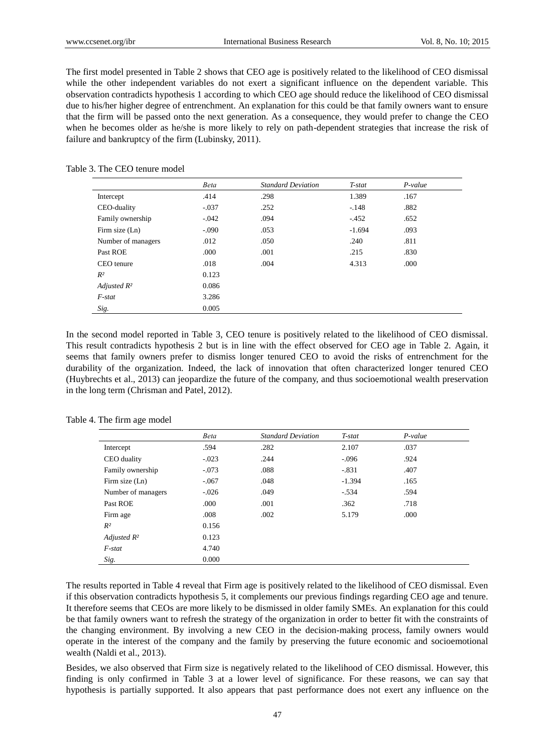The first model presented in Table 2 shows that CEO age is positively related to the likelihood of CEO dismissal while the other independent variables do not exert a significant influence on the dependent variable. This observation contradicts hypothesis 1 according to which CEO age should reduce the likelihood of CEO dismissal due to his/her higher degree of entrenchment. An explanation for this could be that family owners want to ensure that the firm will be passed onto the next generation. As a consequence, they would prefer to change the CEO when he becomes older as he/she is more likely to rely on path-dependent strategies that increase the risk of failure and bankruptcy of the firm (Lubinsky, 2011).

#### Table 3. The CEO tenure model

|                    | Beta    | <b>Standard Deviation</b> | T-stat   | $P-value$ |
|--------------------|---------|---------------------------|----------|-----------|
| Intercept          | .414    | .298                      | 1.389    | .167      |
| CEO-duality        | $-.037$ | .252                      | $-.148$  | .882      |
| Family ownership   | $-.042$ | .094                      | $-452$   | .652      |
| Firm size $(Ln)$   | $-.090$ | .053                      | $-1.694$ | .093      |
| Number of managers | .012    | .050                      | .240     | .811      |
| Past ROE           | .000    | .001                      | .215     | .830      |
| CEO tenure         | .018    | .004                      | 4.313    | .000      |
| $R^2$              | 0.123   |                           |          |           |
| Adjusted $R^2$     | 0.086   |                           |          |           |
| $F$ -stat          | 3.286   |                           |          |           |
| Sig.               | 0.005   |                           |          |           |

In the second model reported in Table 3, CEO tenure is positively related to the likelihood of CEO dismissal. This result contradicts hypothesis 2 but is in line with the effect observed for CEO age in Table 2. Again, it seems that family owners prefer to dismiss longer tenured CEO to avoid the risks of entrenchment for the durability of the organization. Indeed, the lack of innovation that often characterized longer tenured CEO (Huybrechts et al., 2013) can jeopardize the future of the company, and thus socioemotional wealth preservation in the long term (Chrisman and Patel, 2012).

|                    | <b>Beta</b> | <b>Standard Deviation</b> | $T$ -stat | $P-value$ |  |
|--------------------|-------------|---------------------------|-----------|-----------|--|
| Intercept          | .594        | .282                      | 2.107     | .037      |  |
| CEO duality        | $-.023$     | .244                      | $-.096$   | .924      |  |
| Family ownership   | $-.073$     | .088                      | $-.831$   | .407      |  |
| Firm size $(Ln)$   | $-.067$     | .048                      | $-1.394$  | .165      |  |
| Number of managers | $-.026$     | .049                      | $-534$    | .594      |  |
| Past ROE           | .000        | .001                      | .362      | .718      |  |
| Firm age           | .008        | .002                      | 5.179     | .000      |  |
| $R^2$              | 0.156       |                           |           |           |  |
| Adjusted $R^2$     | 0.123       |                           |           |           |  |
| F-stat             | 4.740       |                           |           |           |  |
| Sig.               | 0.000       |                           |           |           |  |

Table 4. The firm age model

The results reported in Table 4 reveal that Firm age is positively related to the likelihood of CEO dismissal. Even if this observation contradicts hypothesis 5, it complements our previous findings regarding CEO age and tenure. It therefore seems that CEOs are more likely to be dismissed in older family SMEs. An explanation for this could be that family owners want to refresh the strategy of the organization in order to better fit with the constraints of the changing environment. By involving a new CEO in the decision-making process, family owners would operate in the interest of the company and the family by preserving the future economic and socioemotional wealth (Naldi et al., 2013).

Besides, we also observed that Firm size is negatively related to the likelihood of CEO dismissal. However, this finding is only confirmed in Table 3 at a lower level of significance. For these reasons, we can say that hypothesis is partially supported. It also appears that past performance does not exert any influence on the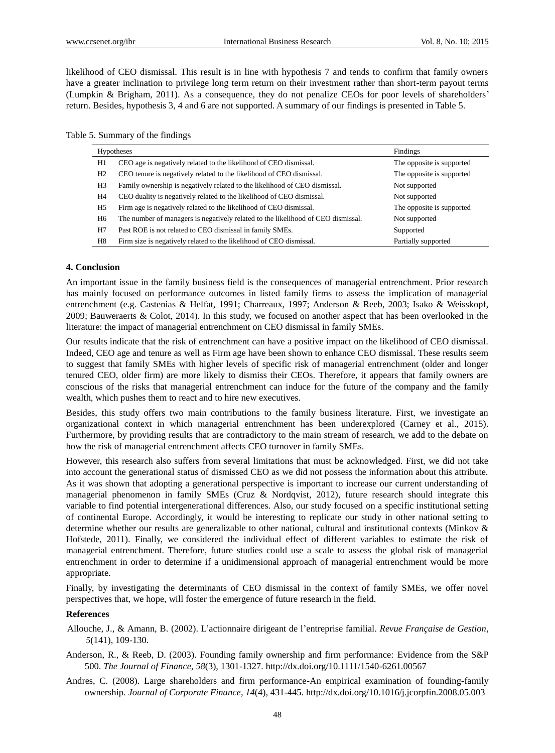likelihood of CEO dismissal. This result is in line with hypothesis 7 and tends to confirm that family owners have a greater inclination to privilege long term return on their investment rather than short-term payout terms (Lumpkin & Brigham, 2011). As a consequence, they do not penalize CEOs for poor levels of shareholders' return. Besides, hypothesis 3, 4 and 6 are not supported. A summary of our findings is presented in Table 5.

|  |  | Table 5. Summary of the findings |  |  |
|--|--|----------------------------------|--|--|
|--|--|----------------------------------|--|--|

|                | <b>Hypotheses</b>                                                                | Findings                   |
|----------------|----------------------------------------------------------------------------------|----------------------------|
| H1             | CEO age is negatively related to the likelihood of CEO dismissal.                | The opposite is supported  |
| H2             | CEO tenure is negatively related to the likelihood of CEO dismissal.             | The opposite is supported  |
| H <sub>3</sub> | Family ownership is negatively related to the likelihood of CEO dismissal.       | Not supported              |
| H4             | CEO duality is negatively related to the likelihood of CEO dismissal.            | Not supported              |
| H <sub>5</sub> | Firm age is negatively related to the likelihood of CEO dismissal.               | The opposite is supported. |
| H <sub>6</sub> | The number of managers is negatively related to the likelihood of CEO dismissal. | Not supported              |
| H7             | Past ROE is not related to CEO dismissal in family SMEs.                         | Supported                  |
| H8             | Firm size is negatively related to the likelihood of CEO dismissal.              | Partially supported        |

# **4. Conclusion**

An important issue in the family business field is the consequences of managerial entrenchment. Prior research has mainly focused on performance outcomes in listed family firms to assess the implication of managerial entrenchment (e.g. Castenias & Helfat, 1991; Charreaux, 1997; Anderson & Reeb, 2003; Isako & Weisskopf, 2009; Bauweraerts & Colot, 2014). In this study, we focused on another aspect that has been overlooked in the literature: the impact of managerial entrenchment on CEO dismissal in family SMEs.

Our results indicate that the risk of entrenchment can have a positive impact on the likelihood of CEO dismissal. Indeed, CEO age and tenure as well as Firm age have been shown to enhance CEO dismissal. These results seem to suggest that family SMEs with higher levels of specific risk of managerial entrenchment (older and longer tenured CEO, older firm) are more likely to dismiss their CEOs. Therefore, it appears that family owners are conscious of the risks that managerial entrenchment can induce for the future of the company and the family wealth, which pushes them to react and to hire new executives.

Besides, this study offers two main contributions to the family business literature. First, we investigate an organizational context in which managerial entrenchment has been underexplored (Carney et al., 2015). Furthermore, by providing results that are contradictory to the main stream of research, we add to the debate on how the risk of managerial entrenchment affects CEO turnover in family SMEs.

However, this research also suffers from several limitations that must be acknowledged. First, we did not take into account the generational status of dismissed CEO as we did not possess the information about this attribute. As it was shown that adopting a generational perspective is important to increase our current understanding of managerial phenomenon in family SMEs (Cruz & Nordqvist, 2012), future research should integrate this variable to find potential intergenerational differences. Also, our study focused on a specific institutional setting of continental Europe. Accordingly, it would be interesting to replicate our study in other national setting to determine whether our results are generalizable to other national, cultural and institutional contexts (Minkov & Hofstede, 2011). Finally, we considered the individual effect of different variables to estimate the risk of managerial entrenchment. Therefore, future studies could use a scale to assess the global risk of managerial entrenchment in order to determine if a unidimensional approach of managerial entrenchment would be more appropriate.

Finally, by investigating the determinants of CEO dismissal in the context of family SMEs, we offer novel perspectives that, we hope, will foster the emergence of future research in the field.

# **References**

- Allouche, J., & Amann, B. (2002). L'actionnaire dirigeant de l'entreprise familial. *Revue Française de Gestion*, *5*(141), 109-130.
- Anderson, R., & Reeb, D. (2003). Founding family ownership and firm performance: Evidence from the S&P 500. *The Journal of Finance*, *58*(3), 1301-1327.<http://dx.doi.org/10.1111/1540-6261.00567>
- Andres, C. (2008). Large shareholders and firm performance-An empirical examination of founding-family ownership. *Journal of Corporate Finance*, *14*(4), 431-445[. http://dx.doi.org/10.1016/j.jcorpfin.2008.05.003](http://dx.doi.org/10.1016/j.jcorpfin.2008.05.003)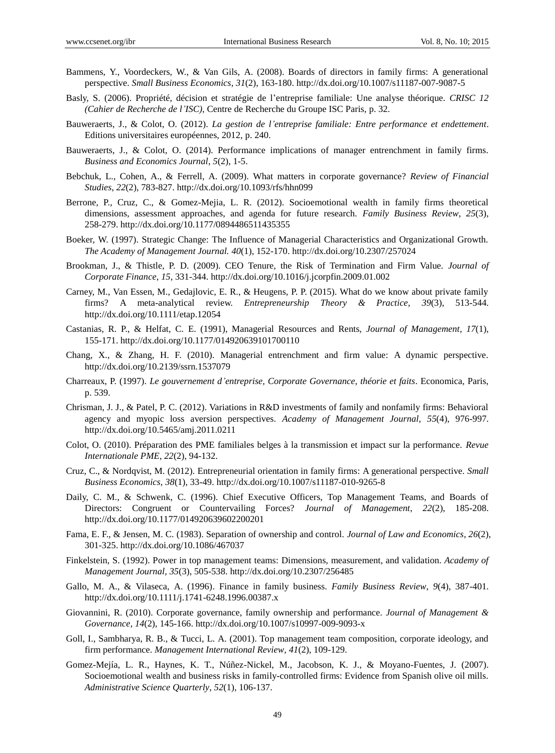- Bammens, Y., Voordeckers, W., & Van Gils, A. (2008). Boards of directors in family firms: A generational perspective. *Small Business Economics*, *31*(2), 163-180.<http://dx.doi.org/10.1007/s11187-007-9087-5>
- Basly, S. (2006). Propriété, décision et stratégie de l'entreprise familiale: Une analyse théorique. *CRISC 12 (Cahier de Recherche de l'ISC)*, Centre de Recherche du Groupe ISC Paris, p. 32.
- Bauweraerts, J., & Colot, O. (2012). *La gestion de l'entreprise familiale: Entre performance et endettement*. Editions universitaires européennes, 2012, p. 240.
- Bauweraerts, J., & Colot, O. (2014). Performance implications of manager entrenchment in family firms. *Business and Economics Journal*, *5*(2), 1-5.
- Bebchuk, L., Cohen, A., & Ferrell, A. (2009). What matters in corporate governance? *Review of Financial Studies*, *22*(2), 783-827.<http://dx.doi.org/10.1093/rfs/hhn099>
- Berrone, P., Cruz, C., & Gomez-Mejia, L. R. (2012). Socioemotional wealth in family firms theoretical dimensions, assessment approaches, and agenda for future research. *Family Business Review*, *25*(3), 258-279.<http://dx.doi.org/10.1177/0894486511435355>
- Boeker, W. (1997). Strategic Change: The Influence of Managerial Characteristics and Organizational Growth. *The Academy of Management Journal. 40*(1), 152-170[. http://dx.doi.org/10.2307/257024](http://dx.doi.org/10.2307/257024)
- Brookman, J., & Thistle, P. D. (2009). CEO Tenure, the Risk of Termination and Firm Value. *Journal of Corporate Finance*, *15*, 331-344.<http://dx.doi.org/10.1016/j.jcorpfin.2009.01.002>
- Carney, M., Van Essen, M., Gedajlovic, E. R., & Heugens, P. P. (2015). What do we know about private family firms? A meta-analytical review. *Entrepreneurship Theory & Practice*, *39*(3), 513-544. <http://dx.doi.org/10.1111/etap.12054>
- Castanias, R. P., & Helfat, C. E. (1991), Managerial Resources and Rents, *Journal of Management*, *17*(1), 155-171.<http://dx.doi.org/10.1177/014920639101700110>
- Chang, X., & Zhang, H. F. (2010). Managerial entrenchment and firm value: A dynamic perspective. <http://dx.doi.org/10.2139/ssrn.1537079>
- Charreaux, P. (1997). *Le gouvernement d'entreprise, Corporate Governance, théorie et faits*. Economica, Paris, p. 539.
- Chrisman, J. J., & Patel, P. C. (2012). Variations in R&D investments of family and nonfamily firms: Behavioral agency and myopic loss aversion perspectives. *Academy of Management Journal*, *55*(4), 976-997. <http://dx.doi.org/10.5465/amj.2011.0211>
- Colot, O. (2010). Préparation des PME familiales belges à la transmission et impact sur la performance. *Revue Internationale PME*, *22*(2), 94-132.
- Cruz, C., & Nordqvist, M. (2012). Entrepreneurial orientation in family firms: A generational perspective. *Small Business Economics*, *38*(1), 33-49.<http://dx.doi.org/10.1007/s11187-010-9265-8>
- Daily, C. M., & Schwenk, C. (1996). Chief Executive Officers, Top Management Teams, and Boards of Directors: Congruent or Countervailing Forces? *Journal of Management*, *22*(2), 185-208. <http://dx.doi.org/10.1177/014920639602200201>
- Fama, E. F., & Jensen, M. C. (1983). Separation of ownership and control. *Journal of Law and Economics*, *26*(2), 301-325.<http://dx.doi.org/10.1086/467037>
- Finkelstein, S. (1992). Power in top management teams: Dimensions, measurement, and validation. *Academy of Management Journal*, *35*(3), 505-538[. http://dx.doi.org/10.2307/256485](http://dx.doi.org/10.2307/256485)
- Gallo, M. A., & Vilaseca, A. (1996). Finance in family business. *Family Business Review*, *9*(4), 387-401. <http://dx.doi.org/10.1111/j.1741-6248.1996.00387.x>
- Giovannini, R. (2010). Corporate governance, family ownership and performance. *Journal of Management & Governance*, *14*(2), 145-166. <http://dx.doi.org/10.1007/s10997-009-9093-x>
- Goll, I., Sambharya, R. B., & Tucci, L. A. (2001). Top management team composition, corporate ideology, and firm performance. *Management International Review*, *41*(2), 109-129.
- Gomez-Mejía, L. R., Haynes, K. T., Núñez-Nickel, M., Jacobson, K. J., & Moyano-Fuentes, J. (2007). Socioemotional wealth and business risks in family-controlled firms: Evidence from Spanish olive oil mills. *Administrative Science Quarterly*, *52*(1), 106-137.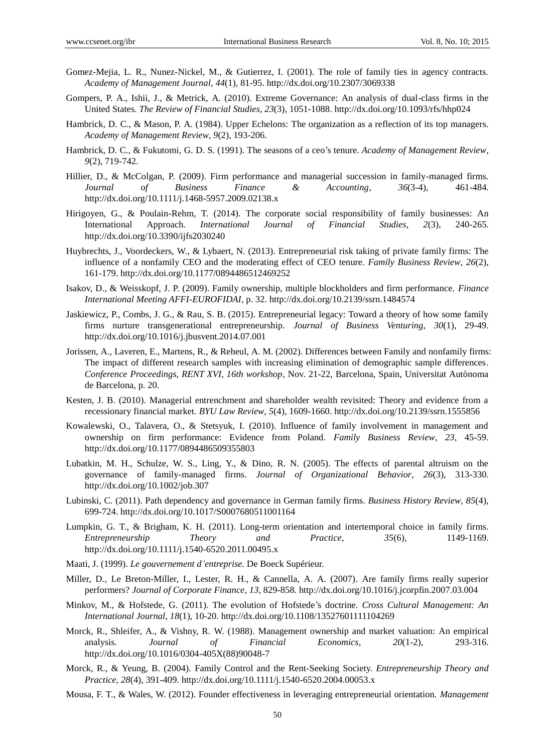- Gomez-Mejia, L. R., Nunez-Nickel, M., & Gutierrez, I. (2001). The role of family ties in agency contracts. *Academy of Management Journal*, *44*(1), 81-95.<http://dx.doi.org/10.2307/3069338>
- Gompers, P. A., Ishii, J., & Metrick, A. (2010). Extreme Governance: An analysis of dual-class firms in the United States. *The Review of Financial Studies*, *23*(3), 1051-1088.<http://dx.doi.org/10.1093/rfs/hhp024>
- Hambrick, D. C., & Mason, P. A. (1984). Upper Echelons: The organization as a reflection of its top managers. *Academy of Management Review*, *9*(2), 193-206.
- Hambrick, D. C., & Fukutomi, G. D. S. (1991). The seasons of a ceo's tenure. *Academy of Management Review*, *9*(2), 719-742.
- Hillier, D., & McColgan, P. (2009). Firm performance and managerial succession in family-managed firms. *Journal of Business Finance & Accounting*, *36*(3-4), 461-484. <http://dx.doi.org/10.1111/j.1468-5957.2009.02138.x>
- Hirigoyen, G., & Poulain-Rehm, T. (2014). The corporate social responsibility of family businesses: An International Approach. *International Journal of Financial Studies*, *2*(3), 240-265. <http://dx.doi.org/10.3390/ijfs2030240>
- Huybrechts, J., Voordeckers, W., & Lybaert, N. (2013). Entrepreneurial risk taking of private family firms: The influence of a nonfamily CEO and the moderating effect of CEO tenure. *Family Business Review*, *26*(2), 161-179.<http://dx.doi.org/10.1177/0894486512469252>
- Isakov, D., & Weisskopf, J. P. (2009). Family ownership, multiple blockholders and firm performance. *[Finance](Finance%20International%20Meeting%20AFFI-EUROFIDAI)  [International Meeting AFFI-EUROFIDAI](Finance%20International%20Meeting%20AFFI-EUROFIDAI)*, p. 32. <http://dx.doi.org/10.2139/ssrn.1484574>
- Jaskiewicz, P., Combs, J. G., & Rau, S. B. (2015). Entrepreneurial legacy: Toward a theory of how some family firms nurture transgenerational entrepreneurship. *Journal of Business Venturing*, *30*(1), 29-49. <http://dx.doi.org/10.1016/j.jbusvent.2014.07.001>
- Jorissen, A., Laveren, E., Martens, R., & Reheul, A. M. (2002). Differences between Family and nonfamily firms: The impact of different research samples with increasing elimination of demographic sample differences. *Conference Proceedings, RENT XVI, 16th workshop*, Nov. 21-22, Barcelona, Spain, Universitat Autònoma de Barcelona, p. 20.
- Kesten, J. B. (2010). Managerial entrenchment and shareholder wealth revisited: Theory and evidence from a recessionary financial market. *BYU Law Review*, *5*(4), 1609-1660[. http://dx.doi.org/10.2139/ssrn.1555856](http://dx.doi.org/10.2139/ssrn.1555856)
- Kowalewski, O., Talavera, O., & Stetsyuk, I. (2010). Influence of family involvement in management and ownership on firm performance: Evidence from Poland. *Family Business Review*, *23*, 45-59. <http://dx.doi.org/10.1177/0894486509355803>
- Lubatkin, M. H., Schulze, W. S., Ling, Y., & Dino, R. N. (2005). The effects of parental altruism on the governance of family-managed firms. *Journal of Organizational Behavior*, *26*(3), 313-330. <http://dx.doi.org/10.1002/job.307>
- Lubinski, C. (2011). Path dependency and governance in German family firms. *Business History Review*, *85*(4), 699-724.<http://dx.doi.org/10.1017/S0007680511001164>
- Lumpkin, G. T., & Brigham, K. H. (2011). Long-term orientation and intertemporal choice in family firms. *Entrepreneurship Theory and Practice*, *35*(6), 1149-1169. <http://dx.doi.org/10.1111/j.1540-6520.2011.00495.x>
- Maati, J. (1999). *Le gouvernement d'entreprise.* De Boeck Supérieur.
- Miller, D., Le Breton-Miller, I., Lester, R. H., & Cannella, A. A. (2007). Are family firms really superior performers? *Journal of Corporate Finance*, *13*, 829-858.<http://dx.doi.org/10.1016/j.jcorpfin.2007.03.004>
- Minkov, M., & Hofstede, G. (2011). The evolution of Hofstede's doctrine. *Cross Cultural Management: An International Journal*, *18*(1), 10-20.<http://dx.doi.org/10.1108/13527601111104269>
- Morck, R., Shleifer, A., & Vishny, R. W. (1988). Management ownership and market valuation: An empirical analysis. *Journal of Financial Economics*, *20*(1-2), 293-316. [http://dx.doi.org/10.1016/0304-405X\(88\)90048-7](http://dx.doi.org/10.1016/0304-405X(88)90048-7)
- Morck, R., & Yeung, B. (2004). [Family Control and the Rent-Seeking Society.](http://ideas.repec.org/p/wdi/papers/2003-585.html) *Entrepreneurship Theory and Practice*, *28*(4), 391-409.<http://dx.doi.org/10.1111/j.1540-6520.2004.00053.x>
- Mousa, F. T., & Wales, W. (2012). Founder effectiveness in leveraging entrepreneurial orientation. *Management*